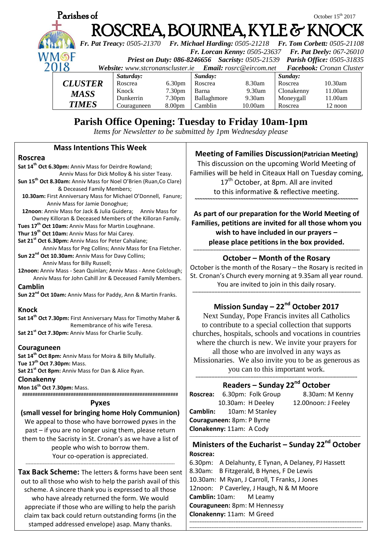

you can to this important work.

## **Readers – Sunday 22nd October**

|                                  | Roscrea: 6.30pm: Folk Group     | 8.30am: M Kenny     |
|----------------------------------|---------------------------------|---------------------|
|                                  | 10.30am: H Deeley               | 12.00noon: J Feeley |
|                                  | <b>Camblin:</b> 10am: M Stanley |                     |
| <b>Couraguneen:</b> 8pm: P Byrne |                                 |                     |
| Clonakenny: 11am: A Cody         |                                 |                     |
|                                  |                                 |                     |

### **Ministers of the Eucharist – Sunday 22nd October Roscrea:**

6.30pm: A Delahunty, E Tynan, A Delaney, PJ Hassett 8.30am: B Fitzgerald, B Hynes, F De Lewis 10.30am: M Ryan, J Carroll, T Franks, J Jones 12noon: P Caverley, J Haugh, N & M Moore **Camblin:** 10am: M Leamy **Couraguneen:** 8pm: M Hennessy **Clonakenny:** 11am: M Greed **------------------------------------------------------------------------------------------------------**

-----------------------------------------------------------------------------------------------------

**Couraguneen Sat 14th Oct 8pm:** Anniv Mass for Moira & Billy Mullally. **Tue 17 th Oct 7.30pm:** Mass. **Sat 21st Oct 8pm:** Anniv Mass for Dan & Alice Ryan. **Clonakenny**

**Mon 16th Oct 7.30pm:** Mass. #############################################################

#### **Pyxes**

#### **(small vessel for bringing home Holy Communion)**

We appeal to those who have borrowed pyxes in the past – if you are no longer using them, please return them to the Sacristy in St. Cronan's as we have a list of people who wish to borrow them. Your co-operation is appreciated. -----------------------------------------------------------------------------------------------

**Tax Back Scheme:** The letters & forms have been sent out to all those who wish to help the parish avail of this scheme. A sincere thank you is expressed to all those who have already returned the form. We would appreciate if those who are willing to help the parish claim tax back could return outstanding forms (in the stamped addressed envelope) asap. Many thanks.

Missionaries. We also invite you to be as generous as

# **------------------------------------------------------------------------------------------------------- Roscrea:** 6.30pm: Folk Group 8.30am: M Kenny